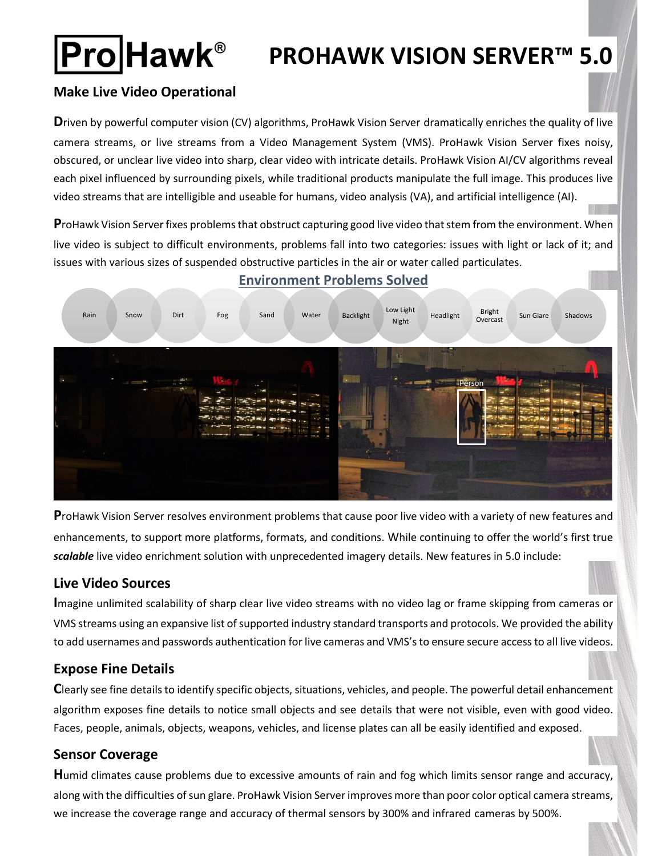# **Pro**Hawk®

## **PROHAWK VISION SERVER™ 5.0**

#### **Make Live Video Operational**

**D**riven by powerful computer vision (CV) algorithms, ProHawk Vision Server dramatically enriches the quality of live camera streams, or live streams from a Video Management System (VMS). ProHawk Vision Server fixes noisy, obscured, or unclear live video into sharp, clear video with intricate details. ProHawk Vision AI/CV algorithms reveal each pixel influenced by surrounding pixels, while traditional products manipulate the full image. This produces live video streams that are intelligible and useable for humans, video analysis (VA), and artificial intelligence (AI).

**P**roHawk Vision Server fixes problems that obstruct capturing good live video that stem from the environment. When live video is subject to difficult environments, problems fall into two categories: issues with light or lack of it; and issues with various sizes of suspended obstructive particles in the air or water called particulates.



### **Environment Problems Solved**

**P**roHawk Vision Server resolves environment problems that cause poor live video with a variety of new features and enhancements, to support more platforms, formats, and conditions. While continuing to offer the world's first true *scalable* live video enrichment solution with unprecedented imagery details. New features in 5.0 include:

#### **Live Video Sources**

**I**magine unlimited scalability of sharp clear live video streams with no video lag or frame skipping from cameras or VMS streams using an expansive list of supported industry standard transports and protocols. We provided the ability to add usernames and passwords authentication for live cameras and VMS's to ensure secure access to all live videos.

#### **Expose Fine Details**

**C**learly see fine details to identify specific objects, situations, vehicles, and people. The powerful detail enhancement algorithm exposes fine details to notice small objects and see details that were not visible, even with good video. Faces, people, animals, objects, weapons, vehicles, and license plates can all be easily identified and exposed.

#### **Sensor Coverage**

**H**umid climates cause problems due to excessive amounts of rain and fog which limits sensor range and accuracy, along with the difficulties of sun glare. ProHawk Vision Server improves more than poor color optical camera streams, we increase the coverage range and accuracy of thermal sensors by 300% and infrared cameras by 500%.